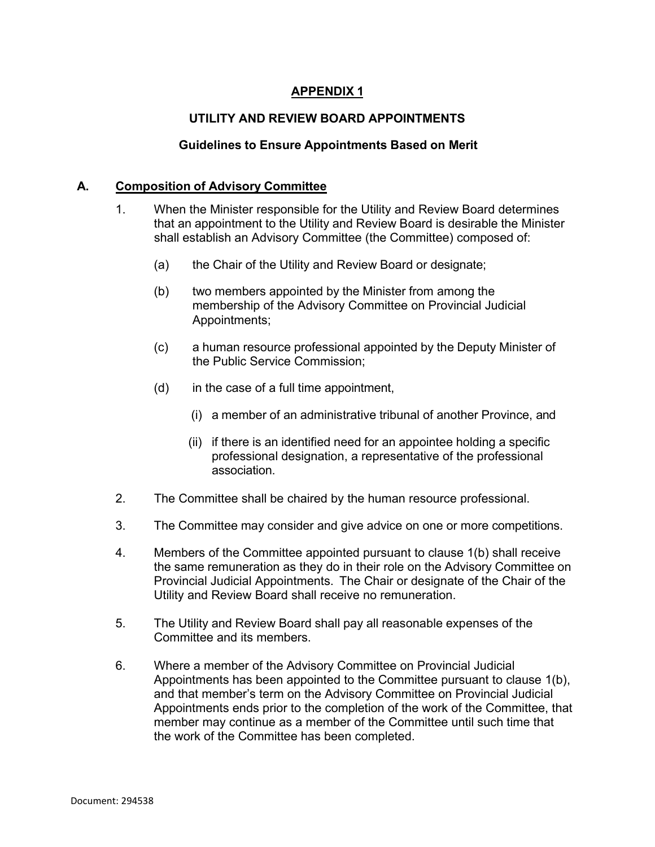# **APPENDIX 1**

# **UTILITY AND REVIEW BOARD APPOINTMENTS**

### **Guidelines to Ensure Appointments Based on Merit**

#### **A. Composition of Advisory Committee**

- 1. When the Minister responsible for the Utility and Review Board determines that an appointment to the Utility and Review Board is desirable the Minister shall establish an Advisory Committee (the Committee) composed of:
	- (a) the Chair of the Utility and Review Board or designate;
	- (b) two members appointed by the Minister from among the membership of the Advisory Committee on Provincial Judicial Appointments;
	- (c) a human resource professional appointed by the Deputy Minister of the Public Service Commission;
	- (d) in the case of a full time appointment,
		- (i) a member of an administrative tribunal of another Province, and
		- (ii) if there is an identified need for an appointee holding a specific professional designation, a representative of the professional association.
- 2. The Committee shall be chaired by the human resource professional.
- 3. The Committee may consider and give advice on one or more competitions.
- 4. Members of the Committee appointed pursuant to clause 1(b) shall receive the same remuneration as they do in their role on the Advisory Committee on Provincial Judicial Appointments. The Chair or designate of the Chair of the Utility and Review Board shall receive no remuneration.
- 5. The Utility and Review Board shall pay all reasonable expenses of the Committee and its members.
- 6. Where a member of the Advisory Committee on Provincial Judicial Appointments has been appointed to the Committee pursuant to clause 1(b), and that member's term on the Advisory Committee on Provincial Judicial Appointments ends prior to the completion of the work of the Committee, that member may continue as a member of the Committee until such time that the work of the Committee has been completed.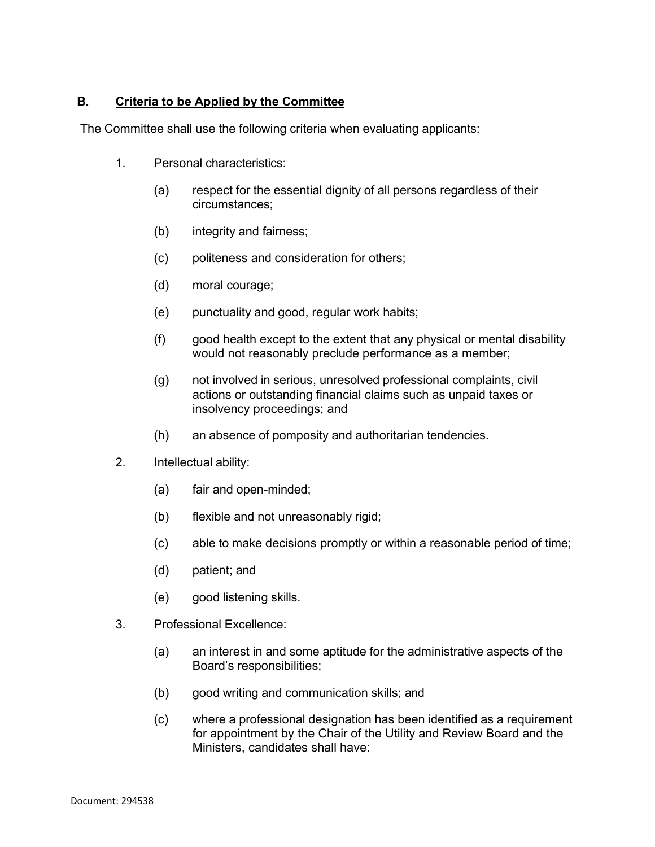# **B. Criteria to be Applied by the Committee**

The Committee shall use the following criteria when evaluating applicants:

- 1. Personal characteristics:
	- (a) respect for the essential dignity of all persons regardless of their circumstances;
	- (b) integrity and fairness;
	- (c) politeness and consideration for others;
	- (d) moral courage;
	- (e) punctuality and good, regular work habits;
	- (f) good health except to the extent that any physical or mental disability would not reasonably preclude performance as a member;
	- (g) not involved in serious, unresolved professional complaints, civil actions or outstanding financial claims such as unpaid taxes or insolvency proceedings; and
	- (h) an absence of pomposity and authoritarian tendencies.
- 2. Intellectual ability:
	- (a) fair and open-minded;
	- (b) flexible and not unreasonably rigid;
	- (c) able to make decisions promptly or within a reasonable period of time;
	- (d) patient; and
	- (e) good listening skills.
- 3. Professional Excellence:
	- (a) an interest in and some aptitude for the administrative aspects of the Board's responsibilities;
	- (b) good writing and communication skills; and
	- (c) where a professional designation has been identified as a requirement for appointment by the Chair of the Utility and Review Board and the Ministers, candidates shall have: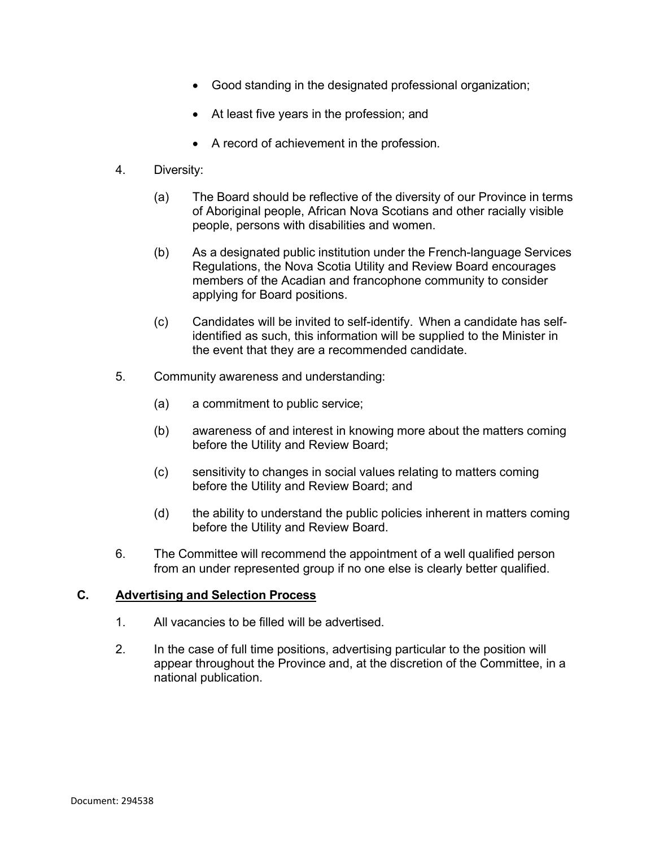- Good standing in the designated professional organization;
- At least five years in the profession; and
- A record of achievement in the profession.
- 4. Diversity:
	- (a) The Board should be reflective of the diversity of our Province in terms of Aboriginal people, African Nova Scotians and other racially visible people, persons with disabilities and women.
	- (b) As a designated public institution under the French-language Services Regulations, the Nova Scotia Utility and Review Board encourages members of the Acadian and francophone community to consider applying for Board positions.
	- (c) Candidates will be invited to self-identify. When a candidate has selfidentified as such, this information will be supplied to the Minister in the event that they are a recommended candidate.
- 5. Community awareness and understanding:
	- (a) a commitment to public service;
	- (b) awareness of and interest in knowing more about the matters coming before the Utility and Review Board;
	- (c) sensitivity to changes in social values relating to matters coming before the Utility and Review Board; and
	- (d) the ability to understand the public policies inherent in matters coming before the Utility and Review Board.
- 6. The Committee will recommend the appointment of a well qualified person from an under represented group if no one else is clearly better qualified.

### **C. Advertising and Selection Process**

- 1. All vacancies to be filled will be advertised.
- 2. In the case of full time positions, advertising particular to the position will appear throughout the Province and, at the discretion of the Committee, in a national publication.